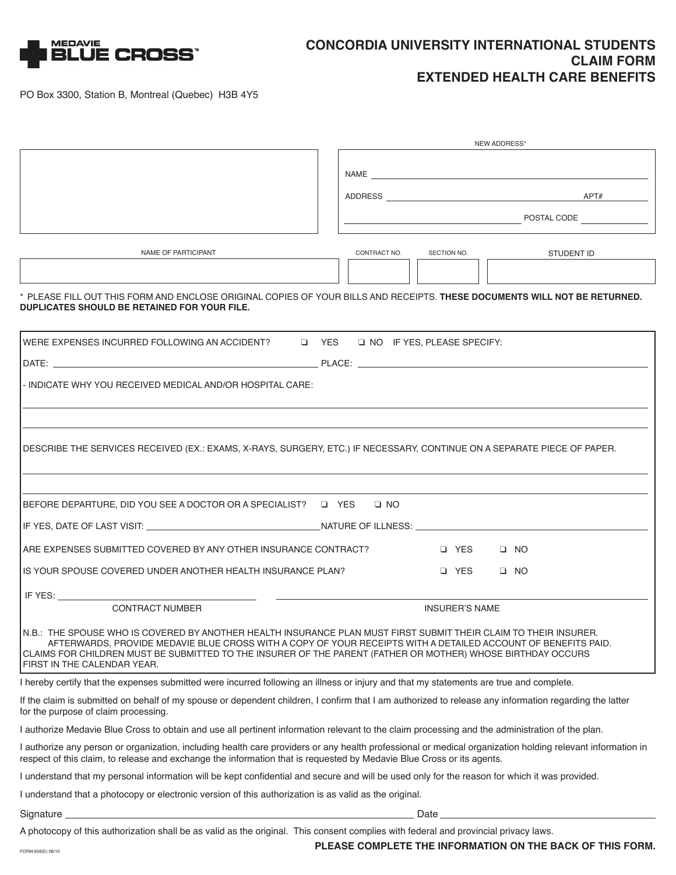

## **CONCORDIA UNIVERSITY INTERNATIONAL STUDENTS CLAIM FORM EXTENDED HEALTH CARE BENEFITS**

PO Box 3300, Station B, Montreal (Quebec) H3B 4Y5

|                                                                                                                                                                                                                                                                | NEW ADDRESS*                                                                                                                                                                                                                   |  |  |  |
|----------------------------------------------------------------------------------------------------------------------------------------------------------------------------------------------------------------------------------------------------------------|--------------------------------------------------------------------------------------------------------------------------------------------------------------------------------------------------------------------------------|--|--|--|
|                                                                                                                                                                                                                                                                |                                                                                                                                                                                                                                |  |  |  |
|                                                                                                                                                                                                                                                                | NAME And the state of the state of the state of the state of the state of the state of the state of the state of the state of the state of the state of the state of the state of the state of the state of the state of the s |  |  |  |
|                                                                                                                                                                                                                                                                |                                                                                                                                                                                                                                |  |  |  |
|                                                                                                                                                                                                                                                                | <b>POSTAL CODE</b>                                                                                                                                                                                                             |  |  |  |
|                                                                                                                                                                                                                                                                |                                                                                                                                                                                                                                |  |  |  |
| NAME OF PARTICIPANT                                                                                                                                                                                                                                            | CONTRACT NO.<br>SECTION NO.<br>STUDENT ID                                                                                                                                                                                      |  |  |  |
|                                                                                                                                                                                                                                                                |                                                                                                                                                                                                                                |  |  |  |
| DUPLICATES SHOULD BE RETAINED FOR YOUR FILE.                                                                                                                                                                                                                   | * PLEASE FILL OUT THIS FORM AND ENCLOSE ORIGINAL COPIES OF YOUR BILLS AND RECEIPTS. THESE DOCUMENTS WILL NOT BE RETURNED.                                                                                                      |  |  |  |
| NERE EXPENSES INCURRED FOLLOWING AN ACCIDENT? Q YES Q NO IF YES, PLEASE SPECIFY:                                                                                                                                                                               |                                                                                                                                                                                                                                |  |  |  |
|                                                                                                                                                                                                                                                                |                                                                                                                                                                                                                                |  |  |  |
| - INDICATE WHY YOU RECEIVED MEDICAL AND/OR HOSPITAL CARE:                                                                                                                                                                                                      |                                                                                                                                                                                                                                |  |  |  |
|                                                                                                                                                                                                                                                                |                                                                                                                                                                                                                                |  |  |  |
|                                                                                                                                                                                                                                                                |                                                                                                                                                                                                                                |  |  |  |
|                                                                                                                                                                                                                                                                | DESCRIBE THE SERVICES RECEIVED (EX.: EXAMS, X-RAYS, SURGERY, ETC.) IF NECESSARY, CONTINUE ON A SEPARATE PIECE OF PAPER.                                                                                                        |  |  |  |
|                                                                                                                                                                                                                                                                |                                                                                                                                                                                                                                |  |  |  |
|                                                                                                                                                                                                                                                                |                                                                                                                                                                                                                                |  |  |  |
|                                                                                                                                                                                                                                                                |                                                                                                                                                                                                                                |  |  |  |
|                                                                                                                                                                                                                                                                |                                                                                                                                                                                                                                |  |  |  |
| IS YOUR SPOUSE COVERED UNDER ANOTHER HEALTH INSURANCE PLAN?                                                                                                                                                                                                    | $\Box$ YES $\Box$ NO                                                                                                                                                                                                           |  |  |  |
|                                                                                                                                                                                                                                                                |                                                                                                                                                                                                                                |  |  |  |
| <b>CONTRACT NUMBER</b>                                                                                                                                                                                                                                         | <b>INSURER'S NAME</b>                                                                                                                                                                                                          |  |  |  |
| N.B.: THE SPOUSE WHO IS COVERED BY ANOTHER HEALTH INSURANCE PLAN MUST FIRST SUBMIT THEIR CLAIM TO THEIR INSURER.<br>CLAIMS FOR CHILDREN MUST BE SUBMITTED TO THE INSURER OF THE PARENT (FATHER OR MOTHER) WHOSE BIRTHDAY OCCURS<br>FIRST IN THE CALENDAR YEAR. | AFTERWARDS, PROVIDE MEDAVIE BLUE CROSS WITH A COPY OF YOUR RECEIPTS WITH A DETAILED ACCOUNT OF BENEFITS PAID.                                                                                                                  |  |  |  |
| I hereby certify that the expenses submitted were incurred following an illness or injury and that my statements are true and complete.                                                                                                                        |                                                                                                                                                                                                                                |  |  |  |
| for the purpose of claim processing.                                                                                                                                                                                                                           | If the claim is submitted on behalf of my spouse or dependent children, I confirm that I am authorized to release any information regarding the latter                                                                         |  |  |  |
| I authorize Medavie Blue Cross to obtain and use all pertinent information relevant to the claim processing and the administration of the plan.                                                                                                                |                                                                                                                                                                                                                                |  |  |  |
| respect of this claim, to release and exchange the information that is requested by Medavie Blue Cross or its agents.                                                                                                                                          | I authorize any person or organization, including health care providers or any health professional or medical organization holding relevant information in                                                                     |  |  |  |
| I understand that my personal information will be kept confidential and secure and will be used only for the reason for which it was provided.                                                                                                                 |                                                                                                                                                                                                                                |  |  |  |
| I understand that a photocopy or electronic version of this authorization is as valid as the original.                                                                                                                                                         |                                                                                                                                                                                                                                |  |  |  |
|                                                                                                                                                                                                                                                                | Date has been according to the contract of the contract of the contract of the contract of the contract of the                                                                                                                 |  |  |  |
| A photocopy of this authorization shall be as valid as the original. This consent complies with federal and provincial privacy laws.                                                                                                                           |                                                                                                                                                                                                                                |  |  |  |
| FORM-658(E) 08/10                                                                                                                                                                                                                                              | PLEASE COMPLETE THE INFORMATION ON THE BACK OF THIS FORM.                                                                                                                                                                      |  |  |  |